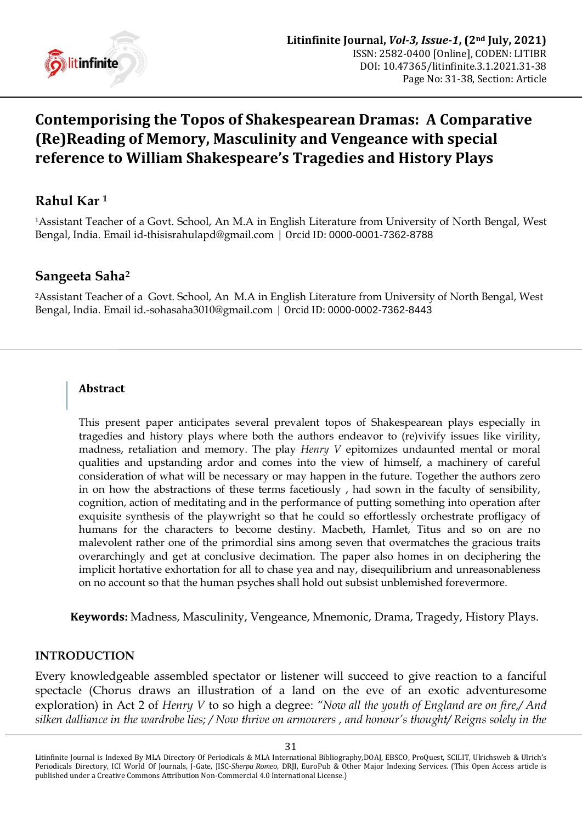

# **Contemporising the Topos of Shakespearean Dramas: A Comparative (Re)Reading of Memory, Masculinity and Vengeance with special reference to William Shakespeare's Tragedies and History Plays**

# **Rahul Kar <sup>1</sup>**

<sup>1</sup>Assistant Teacher of a Govt. School, An M.A in English Literature from University of North Bengal, West Bengal, India. Email [id-thisisrahulapd@gmail.com](mailto:id-thisisrahulapd@gmail.com) | Orcid ID: [0000-0001-7362-8788](https://orcid.org/0000-0001-7362-8788)

## **Sangeeta Saha<sup>2</sup>**

<sup>2</sup>Assistant Teacher of aGovt. School, An M.A in English Literature from University of North Bengal, West Bengal, India. Email [id.-sohasaha3010@gmail.com](mailto:id.-sohasaha3010@gmail.com) | Orcid ID: [0000-0002-7362-8443](https://orcid.org/0000-0002-7362-8443)

#### **Abstract**

This present paper anticipates several prevalent topos of Shakespearean plays especially in tragedies and history plays where both the authors endeavor to (re)vivify issues like virility, madness, retaliation and memory. The play *Henry V* epitomizes undaunted mental or moral qualities and upstanding ardor and comes into the view of himself, a machinery of careful consideration of what will be necessary or may happen in the future. Together the authors zero in on how the abstractions of these terms facetiously , had sown in the faculty of sensibility, cognition, action of meditating and in the performance of putting something into operation after exquisite synthesis of the playwright so that he could so effortlessly orchestrate profligacy of humans for the characters to become destiny. Macbeth, Hamlet, Titus and so on are no malevolent rather one of the primordial sins among seven that overmatches the gracious traits overarchingly and get at conclusive decimation. The paper also homes in on deciphering the implicit hortative exhortation for all to chase yea and nay, disequilibrium and unreasonableness on no account so that the human psyches shall hold out subsist unblemished forevermore.

**Keywords:** Madness, Masculinity, Vengeance, Mnemonic, Drama, Tragedy, History Plays.

#### **INTRODUCTION**

Every knowledgeable assembled spectator or listener will succeed to give reaction to a fanciful spectacle (Chorus draws an illustration of a land on the eve of an exotic adventuresome exploration) in Act 2 of *Henry V* to so high a degree: *"Now all the youth of England are on fire,/ And silken dalliance in the wardrobe lies; / Now thrive on armourers , and honour"s thought/ Reigns solely in the* 

Litinfinite Journal is Indexed By MLA Directory Of Periodicals & MLA International Bibliography,DOAJ, EBSCO, ProQuest, SCILIT, Ulrichsweb & Ulrich's Periodicals Directory, ICI World Of Journals, J-Gate, JISC-*Sherpa Romeo*, DRJI, EuroPub & Other Major Indexing Services. (This Open Access article is published under a Creative Commons Attribution Non-Commercial 4.0 International License.)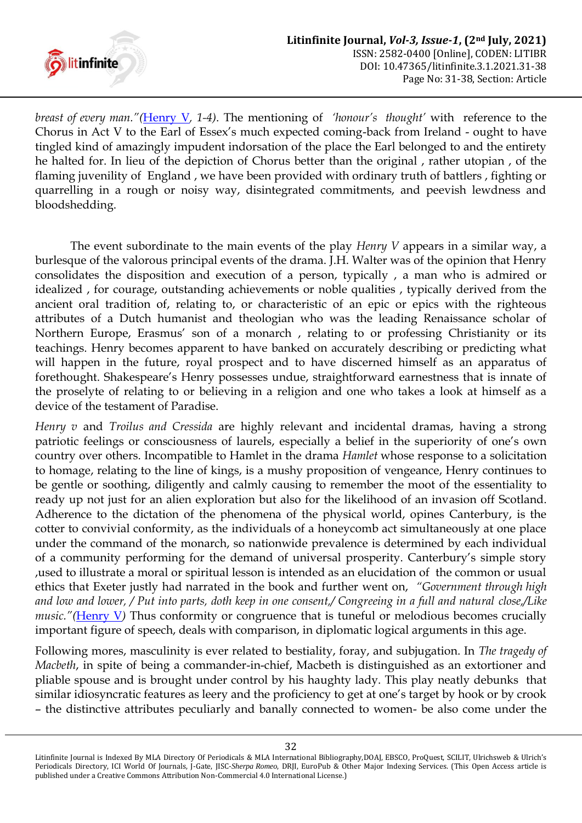

*breast of every man."(*[Henry V](#page-5-0)*, 1-4)*. The mentioning of *"honour"s thought"* with reference to the Chorus in Act V to the Earl of Essex"s much expected coming-back from Ireland - ought to have tingled kind of amazingly impudent indorsation of the place the Earl belonged to and the entirety he halted for. In lieu of the depiction of Chorus better than the original , rather utopian , of the flaming juvenility of England , we have been provided with ordinary truth of battlers , fighting or quarrelling in a rough or noisy way, disintegrated commitments, and peevish lewdness and bloodshedding.

The event subordinate to the main events of the play *Henry V* appears in a similar way, a burlesque of the valorous principal events of the drama. J.H. Walter was of the opinion that Henry consolidates the disposition and execution of a person, typically , a man who is admired or idealized , for courage, outstanding achievements or noble qualities , typically derived from the ancient oral tradition of, relating to, or characteristic of an epic or epics with the righteous attributes of a Dutch humanist and theologian who was the leading Renaissance scholar of Northern Europe, Erasmus' son of a monarch, relating to or professing Christianity or its teachings. Henry becomes apparent to have banked on accurately describing or predicting what will happen in the future, royal prospect and to have discerned himself as an apparatus of forethought. Shakespeare's Henry possesses undue, straightforward earnestness that is innate of the proselyte of relating to or believing in a religion and one who takes a look at himself as a device of the testament of Paradise.

*Henry v* and *Troilus and Cressida* are highly relevant and incidental dramas, having a strong patriotic feelings or consciousness of laurels, especially a belief in the superiority of one"s own country over others. Incompatible to Hamlet in the drama *Hamlet* whose response to a solicitation to homage, relating to the line of kings, is a mushy proposition of vengeance, Henry continues to be gentle or soothing, diligently and calmly causing to remember the moot of the essentiality to ready up not just for an alien exploration but also for the likelihood of an invasion off Scotland. Adherence to the dictation of the phenomena of the physical world, opines Canterbury, is the cotter to convivial conformity, as the individuals of a honeycomb act simultaneously at one place under the command of the monarch, so nationwide prevalence is determined by each individual of a community performing for the demand of universal prosperity. Canterbury"s simple story ,used to illustrate a moral or spiritual lesson is intended as an elucidation of the common or usual ethics that Exeter justly had narrated in the book and further went on, *"Government through high and low and lower, / Put into parts, doth keep in one consent,/ Congreeing in a full and natural close,/Like music."*([Henry V](#page-5-0)) Thus conformity or congruence that is tuneful or melodious becomes crucially important figure of speech, deals with comparison, in diplomatic logical arguments in this age.

Following mores, masculinity is ever related to bestiality, foray, and subjugation. In *The tragedy of Macbeth*, in spite of being a commander-in-chief, Macbeth is distinguished as an extortioner and pliable spouse and is brought under control by his haughty lady. This play neatly debunks that similar idiosyncratic features as leery and the proficiency to get at one"s target by hook or by crook – the distinctive attributes peculiarly and banally connected to women- be also come under the

Litinfinite Journal is Indexed By MLA Directory Of Periodicals & MLA International Bibliography,DOAJ, EBSCO, ProQuest, SCILIT, Ulrichsweb & Ulrich's Periodicals Directory, ICI World Of Journals, J-Gate, JISC-*Sherpa Romeo*, DRJI, EuroPub & Other Major Indexing Services. (This Open Access article is published under a Creative Commons Attribution Non-Commercial 4.0 International License.)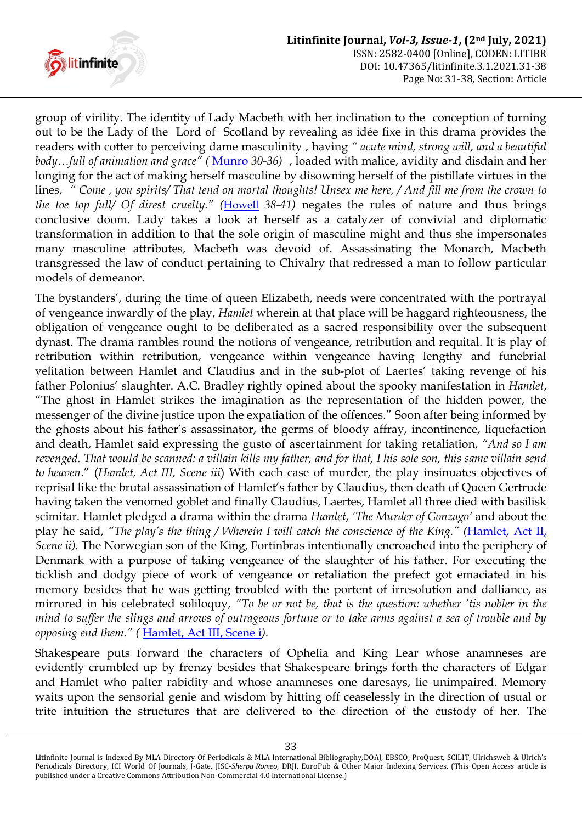

group of virility. The identity of Lady Macbeth with her inclination to the conception of turning out to be the Lady of the Lord of Scotland by revealing as idée fixe in this drama provides the readers with cotter to perceiving dame masculinity , having *" acute mind, strong will, and a beautiful body…full of animation and grace" (* [Munro](#page-6-0) *30-36)* , loaded with malice, avidity and disdain and her longing for the act of making herself masculine by disowning herself of the pistillate virtues in the lines, *" Come , you spirits/ That tend on mortal thoughts! Unsex me here, / And fill me from the crown to the toe top full/ Of direst cruelty." (*[Howell](#page-5-1) *38-41)* negates the rules of nature and thus brings conclusive doom. Lady takes a look at herself as a catalyzer of convivial and diplomatic transformation in addition to that the sole origin of masculine might and thus she impersonates many masculine attributes, Macbeth was devoid of. Assassinating the Monarch, Macbeth transgressed the law of conduct pertaining to Chivalry that redressed a man to follow particular models of demeanor.

The bystanders", during the time of queen Elizabeth, needs were concentrated with the portrayal of vengeance inwardly of the play, *Hamlet* wherein at that place will be haggard righteousness, the obligation of vengeance ought to be deliberated as a sacred responsibility over the subsequent dynast. The drama rambles round the notions of vengeance, retribution and requital. It is play of retribution within retribution, vengeance within vengeance having lengthy and funebrial velitation between Hamlet and Claudius and in the sub-plot of Laertes' taking revenge of his father Polonius" slaughter. A.C. Bradley rightly opined about the spooky manifestation in *Hamlet*, "The ghost in Hamlet strikes the imagination as the representation of the hidden power, the messenger of the divine justice upon the expatiation of the offences." Soon after being informed by the ghosts about his father"s assassinator, the germs of bloody affray, incontinence, liquefaction and death, Hamlet said expressing the gusto of ascertainment for taking retaliation, *"And so I am revenged. That would be scanned: a villain kills my father, and for that, I his sole son, this same villain send to heaven*." (*Hamlet, Act III, Scene iii*) With each case of murder, the play insinuates objectives of reprisal like the brutal assassination of Hamlet"s father by Claudius, then death of Queen Gertrude having taken the venomed goblet and finally Claudius, Laertes, Hamlet all three died with basilisk scimitar. Hamlet pledged a drama within the drama *Hamlet*, *"The Murder of Gonzago"* and about the play he said, *"The play"s the thing / Wherein I will catch the conscience of the King." (*[Hamlet, Act II,](#page-6-1) *Scene ii).* The Norwegian son of the King, Fortinbras intentionally encroached into the periphery of Denmark with a purpose of taking vengeance of the slaughter of his father. For executing the ticklish and dodgy piece of work of vengeance or retaliation the prefect got emaciated in his memory besides that he was getting troubled with the portent of irresolution and dalliance, as mirrored in his celebrated soliloquy, *"To be or not be, that is the question: whether "tis nobler in the mind to suffer the slings and arrows of outrageous fortune or to take arms against a sea of trouble and by opposing end them." (* [Hamlet, Act III, Scene i](#page-6-1)*).*

Shakespeare puts forward the characters of Ophelia and King Lear whose anamneses are evidently crumbled up by frenzy besides that Shakespeare brings forth the characters of Edgar and Hamlet who palter rabidity and whose anamneses one daresays, lie unimpaired. Memory waits upon the sensorial genie and wisdom by hitting off ceaselessly in the direction of usual or trite intuition the structures that are delivered to the direction of the custody of her. The

Litinfinite Journal is Indexed By MLA Directory Of Periodicals & MLA International Bibliography,DOAJ, EBSCO, ProQuest, SCILIT, Ulrichsweb & Ulrich's Periodicals Directory, ICI World Of Journals, J-Gate, JISC-*Sherpa Romeo*, DRJI, EuroPub & Other Major Indexing Services. (This Open Access article is published under a Creative Commons Attribution Non-Commercial 4.0 International License.)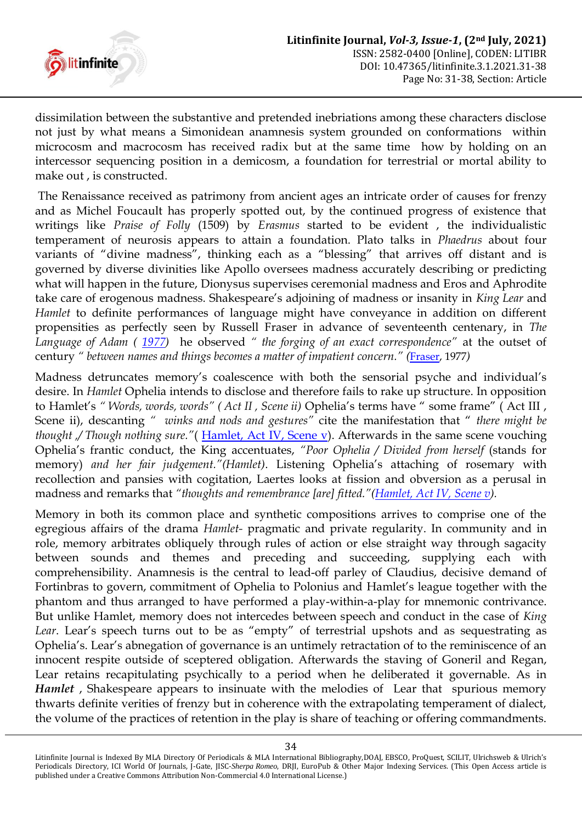

dissimilation between the substantive and pretended inebriations among these characters disclose not just by what means a Simonidean anamnesis system grounded on conformations within microcosm and macrocosm has received radix but at the same time how by holding on an intercessor sequencing position in a demicosm, a foundation for terrestrial or mortal ability to make out , is constructed.

The Renaissance received as patrimony from ancient ages an intricate order of causes for frenzy and as Michel Foucault has properly spotted out, by the continued progress of existence that writings like *Praise of Folly* (1509) by *Erasmus* started to be evident , the individualistic temperament of neurosis appears to attain a foundation. Plato talks in *Phaedrus* about four variants of "divine madness", thinking each as a "blessing" that arrives off distant and is governed by diverse divinities like Apollo oversees madness accurately describing or predicting what will happen in the future, Dionysus supervises ceremonial madness and Eros and Aphrodite take care of erogenous madness. Shakespeare"s adjoining of madness or insanity in *King Lear* and *Hamlet* to definite performances of language might have conveyance in addition on different propensities as perfectly seen by Russell Fraser in advance of seventeenth centenary, in *The Language of Adam ( [1977\)](#page-3-0)* he observed *" the forging of an exact correspondence"* at the outset of century *" between names and things becomes a matter of impatient concern." ([Fraser,](#page-3-0) 1977)* 

<span id="page-3-0"></span>Madness detruncates memory's coalescence with both the sensorial psyche and individual's desire. In *Hamlet* Ophelia intends to disclose and therefore fails to rake up structure. In opposition to Hamlet's " Words, words, words" (Act II, Scene ii) Ophelia's terms have " some frame" (Act III, Scene ii), descanting *" winks and nods and gestures"* cite the manifestation that " *there might be thought ,/ Though nothing sure."*( [Hamlet, Act IV, Scene v\)](#page-6-1). Afterwards in the same scene vouching Ophelia"s frantic conduct, the King accentuates, *"Poor Ophelia / Divided from herself* (stands for memory) and her fair judgement."(Hamlet). Listening Ophelia's attaching of rosemary with recollection and pansies with cogitation, Laertes looks at fission and obversion as a perusal in madness and remarks that *"thoughts and remembrance [are] fitted."([Hamlet, Act IV, Scene v\)](#page-6-1).*

Memory in both its common place and synthetic compositions arrives to comprise one of the egregious affairs of the drama *Hamlet-* pragmatic and private regularity. In community and in role, memory arbitrates obliquely through rules of action or else straight way through sagacity between sounds and themes and preceding and succeeding, supplying each with comprehensibility. Anamnesis is the central to lead-off parley of Claudius, decisive demand of Fortinbras to govern, commitment of Ophelia to Polonius and Hamlet's league together with the phantom and thus arranged to have performed a play-within-a-play for mnemonic contrivance. But unlike Hamlet, memory does not intercedes between speech and conduct in the case of *King*  Lear. Lear's speech turns out to be as "empty" of terrestrial upshots and as sequestrating as Ophelia"s. Lear"s abnegation of governance is an untimely retractation of to the reminiscence of an innocent respite outside of sceptered obligation. Afterwards the staving of Goneril and Regan, Lear retains recapitulating psychically to a period when he deliberated it governable. As in *Hamlet*, Shakespeare appears to insinuate with the melodies of Lear that spurious memory thwarts definite verities of frenzy but in coherence with the extrapolating temperament of dialect, the volume of the practices of retention in the play is share of teaching or offering commandments.

Litinfinite Journal is Indexed By MLA Directory Of Periodicals & MLA International Bibliography,DOAJ, EBSCO, ProQuest, SCILIT, Ulrichsweb & Ulrich's Periodicals Directory, ICI World Of Journals, J-Gate, JISC-*Sherpa Romeo*, DRJI, EuroPub & Other Major Indexing Services. (This Open Access article is published under a Creative Commons Attribution Non-Commercial 4.0 International License.)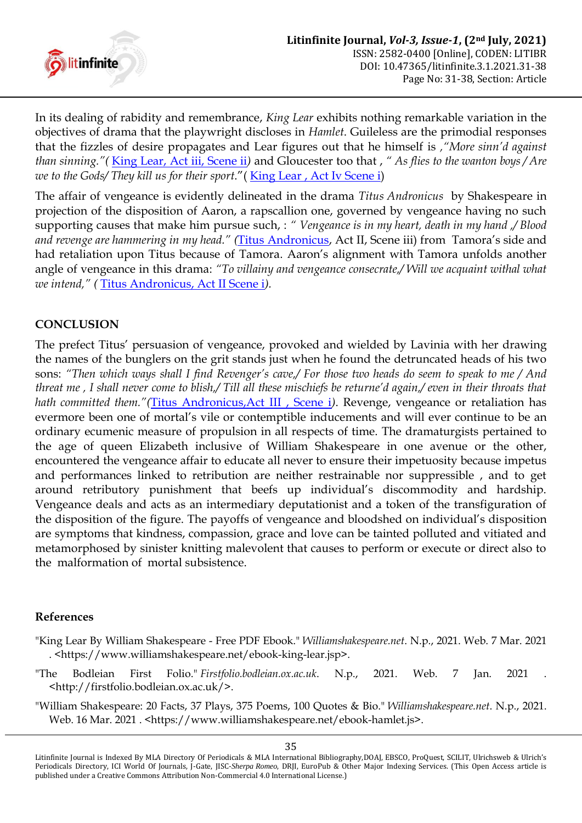

In its dealing of rabidity and remembrance, *King Lear* exhibits nothing remarkable variation in the objectives of drama that the playwright discloses in *Hamlet*. Guileless are the primodial responses that the fizzles of desire propagates and Lear figures out that he himself is *,"More sinn"d against than sinning."(* [King Lear, Act iii, Scene ii](#page-4-0)*)* and Gloucester too that , *" As flies to the wanton boys / Are we to the Gods/ They kill us for their sport*."( [King Lear , Act Iv Scene i\)](#page-4-0)

The affair of vengeance is evidently delineated in the drama *Titus Andronicus* by Shakespeare in projection of the disposition of Aaron, a rapscallion one, governed by vengeance having no such supporting causes that make him pursue such, : *" Vengeance is in my heart, death in my hand ,/ Blood and revenge are hammering in my head." (*[Titus Andronicus](#page-6-1), Act II, Scene iii) from Tamora"s side and had retaliation upon Titus because of Tamora. Aaron's alignment with Tamora unfolds another angle of vengeance in this drama: *"To villainy and vengeance consecrate,/ Will we acquaint withal what we intend," (* [Titus Andronicus, Act II Scene i](#page-6-1)*).*

### **CONCLUSION**

The prefect Titus' persuasion of vengeance, provoked and wielded by Lavinia with her drawing the names of the bunglers on the grit stands just when he found the detruncated heads of his two sons: *"Then which ways shall I find Revenger"s cave,/ For those two heads do seem to speak to me / And threat me , I shall never come to blish,/ Till all these mischiefs be returne"d again,/ even in their throats that hath committed them."(*[Titus Andronicus,Act III , Scene i](#page-6-1)*)*. Revenge, vengeance or retaliation has evermore been one of mortal"s vile or contemptible inducements and will ever continue to be an ordinary ecumenic measure of propulsion in all respects of time. The dramaturgists pertained to the age of queen Elizabeth inclusive of William Shakespeare in one avenue or the other, encountered the vengeance affair to educate all never to ensure their impetuosity because impetus and performances linked to retribution are neither restrainable nor suppressible , and to get around retributory punishment that beefs up individual"s discommodity and hardship. Vengeance deals and acts as an intermediary deputationist and a token of the transfiguration of the disposition of the figure. The payoffs of vengeance and bloodshed on individual"s disposition are symptoms that kindness, compassion, grace and love can be tainted polluted and vitiated and metamorphosed by sinister knitting malevolent that causes to perform or execute or direct also to the malformation of mortal subsistence.

#### **References**

- <span id="page-4-0"></span>"King Lear By William Shakespeare - Free PDF Ebook." *Williamshakespeare.net*. N.p., 2021. Web. 7 Mar. 2021 . <https://www.williamshakespeare.net/ebook-king-lear.jsp>.
- "The Bodleian First Folio." *Firstfolio.bodleian.ox.ac.uk*. N.p., 2021. Web. 7 Jan. 2021 . <http://firstfolio.bodleian.ox.ac.uk/>.
- "William Shakespeare: 20 Facts, 37 Plays, 375 Poems, 100 Quotes & Bio." *Williamshakespeare.net*. N.p., 2021. Web. 16 Mar. 2021 . < https://www.williamshakespeare.net/ebook-hamlet.js>.

Litinfinite Journal is Indexed By MLA Directory Of Periodicals & MLA International Bibliography,DOAJ, EBSCO, ProQuest, SCILIT, Ulrichsweb & Ulrich's Periodicals Directory, ICI World Of Journals, J-Gate, JISC-*Sherpa Romeo*, DRJI, EuroPub & Other Major Indexing Services. (This Open Access article is published under a Creative Commons Attribution Non-Commercial 4.0 International License.)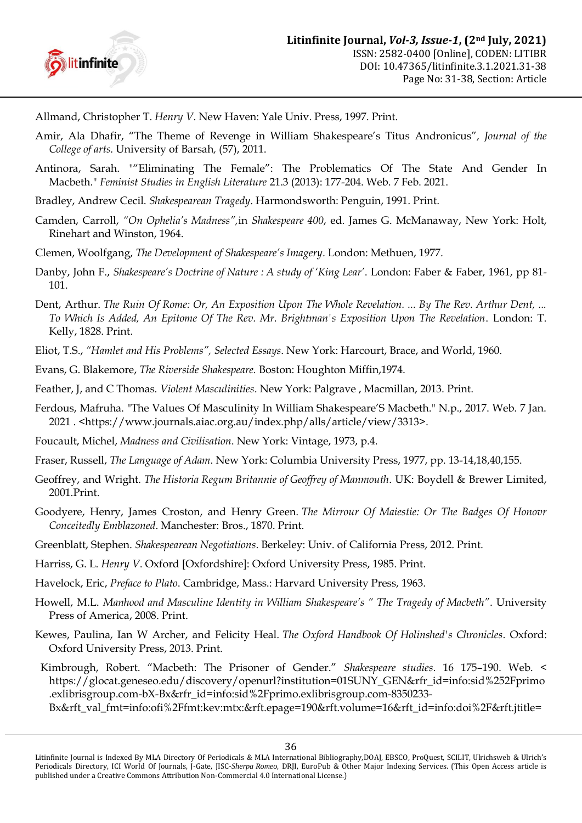

<span id="page-5-0"></span>Allmand, Christopher T. *Henry V*. New Haven: Yale Univ. Press, 1997. Print.

- Amir, Ala Dhafir, "The Theme of Revenge in William Shakespeare"s Titus Andronicus"*, Journal of the College of arts.* University of Barsah*,* (57), 2011.
- Antinora, Sarah. ""Eliminating The Female": The Problematics Of The State And Gender In Macbeth." *Feminist Studies in English Literature* 21.3 (2013): 177-204. Web. 7 Feb. 2021.
- Bradley, Andrew Cecil. *Shakespearean Tragedy*. Harmondsworth: Penguin, 1991. Print.
- Camden, Carroll, *"On Ophelia"s Madness",*in *Shakespeare 400*, ed. James G. McManaway, New York: Holt, Rinehart and Winston, 1964.
- Clemen, Woolfgang, *The Development of Shakespeare"s Imagery*. London: Methuen, 1977.
- Danby, John F., *Shakespeare"s Doctrine of Nature : A study of "King Lear"*. London: Faber & Faber, 1961, pp 81- 101.
- Dent, Arthur. *The Ruin Of Rome: Or, An Exposition Upon The Whole Revelation. ... By The Rev. Arthur Dent, ... To Which Is Added, An Epitome Of The Rev. Mr. Brightman's Exposition Upon The Revelation*. London: T. Kelly, 1828. Print.
- Eliot, T.S., *"Hamlet and His Problems", Selected Essays*. New York: Harcourt, Brace, and World, 1960.
- Evans, G. Blakemore, *The Riverside Shakespeare.* Boston: Houghton Miffin,1974.
- Feather, J, and C Thomas. *Violent Masculinities*. New York: Palgrave , Macmillan, 2013. Print.
- Ferdous, Mafruha. "The Values Of Masculinity In William Shakespeare"S Macbeth." N.p., 2017. Web. 7 Jan. 2021 . <https://www.journals.aiac.org.au/index.php/alls/article/view/3313>.
- Foucault, Michel, *Madness and Civilisation*. New York: Vintage, 1973, p.4.
- Fraser, Russell, *The Language of Adam*. New York: Columbia University Press, 1977, pp. 13-14,18,40,155.
- Geoffrey, and Wright*. The Historia Regum Britannie of Geoffrey of Manmouth*. UK: Boydell & Brewer Limited, 2001.Print.
- Goodyere, Henry, James Croston, and Henry Green. *The Mirrour Of Maiestie: Or The Badges Of Honovr Conceitedly Emblazoned*. Manchester: Bros., 1870. Print.
- Greenblatt, Stephen. *Shakespearean Negotiations*. Berkeley: Univ. of California Press, 2012. Print.
- Harriss, G. L. *Henry V*. Oxford [Oxfordshire]: Oxford University Press, 1985. Print.
- Havelock, Eric, *Preface to Plato*. Cambridge, Mass.: Harvard University Press, 1963.
- <span id="page-5-1"></span>Howell, M.L. *Manhood and Masculine Identity in William Shakespeare"s " The Tragedy of Macbeth"*. University Press of America, 2008. Print.
- Kewes, Paulina, Ian W Archer, and Felicity Heal. *The Oxford Handbook Of Holinshed's Chronicles*. Oxford: Oxford University Press, 2013. Print.
- Kimbrough, Robert. "Macbeth: The Prisoner of Gender." *Shakespeare studies*. 16 175–190. Web. < [https://glocat.geneseo.edu/discovery/openurl?institution=01SUNY\\_GEN&rfr\\_id=info:sid%252Fprimo](https://glocat.geneseo.edu/discovery/openurl?institution=01SUNY_GEN&rfr_id=info:sid%252Fprimo.exlibrisgroup.com-bX-Bx&rfr_id=info:sid%2Fprimo.exlibrisgroup.com-8350233-Bx&rft_val_fmt=info:ofi%2Ffmt:kev:mtx:&rft.epage=190&rft.volume=16&rft_id=info:doi%2F&rft.jtitle=Shakespeare%20studies&rft.isbn=&rft.btitle=&rft.genre=article&rft.issue=&rft.auinit1=R&rft.eisbn=&rft.aulast=Kimbrough,%20Robert&rft.auinit=RM&rft.spage=175&rft.au=Kimbrough,%20Robert,%20Robert%20M&rft.atitle=Macbeth:%20The%20Prisoner%20of%20Gender.&rft_dat=&rft.issn=0582-9399&rft.eissn=0582-9399&svc_dat=CTO&u.ignore_date_coverage=true&vid=01SUNY_GEN:01SUNY_GEN) [.exlibrisgroup.com-bX-Bx&rfr\\_id=info:sid%2Fprimo.exlibrisgroup.com-8350233-](https://glocat.geneseo.edu/discovery/openurl?institution=01SUNY_GEN&rfr_id=info:sid%252Fprimo.exlibrisgroup.com-bX-Bx&rfr_id=info:sid%2Fprimo.exlibrisgroup.com-8350233-Bx&rft_val_fmt=info:ofi%2Ffmt:kev:mtx:&rft.epage=190&rft.volume=16&rft_id=info:doi%2F&rft.jtitle=Shakespeare%20studies&rft.isbn=&rft.btitle=&rft.genre=article&rft.issue=&rft.auinit1=R&rft.eisbn=&rft.aulast=Kimbrough,%20Robert&rft.auinit=RM&rft.spage=175&rft.au=Kimbrough,%20Robert,%20Robert%20M&rft.atitle=Macbeth:%20The%20Prisoner%20of%20Gender.&rft_dat=&rft.issn=0582-9399&rft.eissn=0582-9399&svc_dat=CTO&u.ignore_date_coverage=true&vid=01SUNY_GEN:01SUNY_GEN)
	- [Bx&rft\\_val\\_fmt=info:ofi%2Ffmt:kev:mtx:&rft.epage=190&rft.volume=16&rft\\_id=info:doi%2F&rft.jtitle=](https://glocat.geneseo.edu/discovery/openurl?institution=01SUNY_GEN&rfr_id=info:sid%252Fprimo.exlibrisgroup.com-bX-Bx&rfr_id=info:sid%2Fprimo.exlibrisgroup.com-8350233-Bx&rft_val_fmt=info:ofi%2Ffmt:kev:mtx:&rft.epage=190&rft.volume=16&rft_id=info:doi%2F&rft.jtitle=Shakespeare%20studies&rft.isbn=&rft.btitle=&rft.genre=article&rft.issue=&rft.auinit1=R&rft.eisbn=&rft.aulast=Kimbrough,%20Robert&rft.auinit=RM&rft.spage=175&rft.au=Kimbrough,%20Robert,%20Robert%20M&rft.atitle=Macbeth:%20The%20Prisoner%20of%20Gender.&rft_dat=&rft.issn=0582-9399&rft.eissn=0582-9399&svc_dat=CTO&u.ignore_date_coverage=true&vid=01SUNY_GEN:01SUNY_GEN)

Litinfinite Journal is Indexed By MLA Directory Of Periodicals & MLA International Bibliography,DOAJ, EBSCO, ProQuest, SCILIT, Ulrichsweb & Ulrich's Periodicals Directory, ICI World Of Journals, J-Gate, JISC-*Sherpa Romeo*, DRJI, EuroPub & Other Major Indexing Services. (This Open Access article is published under a Creative Commons Attribution Non-Commercial 4.0 International License.)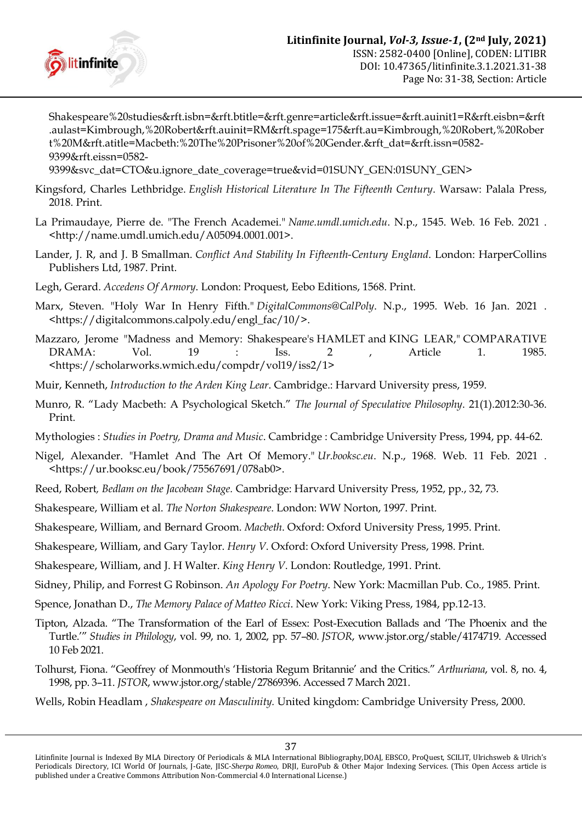

Shakespeare%20studies&rft.isbn=&rft.btitle=&rft.genre=article&rft.issue=&rft.auinit1=R&rft.eisbn=&rft .aulast=Kimbrough,%20Robert&rft.auinit=RM&rft.spage=175&rft.au=Kimbrough,%20Robert,%20Rober t%20M&rft.atitle=Macbeth:%20The%20Prisoner%20of%20Gender.&rft\_dat=&rft.issn=0582- 9399&rft.eissn=0582-

9399&svc\_dat=CTO&u.ignore\_date\_coverage=true&vid=01SUNY\_GEN:01SUNY\_GEN>

- Kingsford, Charles Lethbridge. *English Historical Literature In The Fifteenth Century*. Warsaw: Palala Press, 2018. Print.
- La Primaudaye, Pierre de. "The French Academei." *Name.umdl.umich.edu*. N.p., 1545. Web. 16 Feb. 2021 . <http://name.umdl.umich.edu/A05094.0001.001>.
- Lander, J. R, and J. B Smallman. *Conflict And Stability In Fifteenth-Century England*. London: HarperCollins Publishers Ltd, 1987. Print.
- Legh, Gerard. *Accedens Of Armory*. London: Proquest, Eebo Editions, 1568. Print.
- Marx, Steven. "Holy War In Henry Fifth." *DigitalCommons@CalPoly*. N.p., 1995. Web. 16 Jan. 2021 . <https://digitalcommons.calpoly.edu/engl\_fac/10/>.
- Mazzaro, Jerome "Madness and Memory: Shakespeare's HAMLET and KING LEAR," COMPARATIVE DRAMA: Vol. 19 : Iss. 2 , Article 1. 1985. [<https://scholarworks.wmich.edu/compdr/vol19/iss2/1>](https://scholarworks.wmich.edu/compdr/vol19/iss2/1)
- Muir, Kenneth, *Introduction to the Arden King Lear*. Cambridge.: Harvard University press, 1959.
- <span id="page-6-0"></span>Munro, R. "Lady Macbeth: A Psychological Sketch." *The Journal of Speculative Philosophy*. 21(1).2012:30-36. Print.
- Mythologies : *Studies in Poetry, Drama and Music*. Cambridge : Cambridge University Press, 1994, pp. 44-62.
- Nigel, Alexander. "Hamlet And The Art Of Memory." *Ur.booksc.eu*. N.p., 1968. Web. 11 Feb. 2021 . <https://ur.booksc.eu/book/75567691/078ab0>.
- Reed, Robert*, Bedlam on the Jacobean Stage.* Cambridge: Harvard University Press, 1952, pp., 32, 73.
- <span id="page-6-1"></span>Shakespeare, William et al. *The Norton Shakespeare*. London: WW Norton, 1997. Print.
- Shakespeare, William, and Bernard Groom. *Macbeth*. Oxford: Oxford University Press, 1995. Print.
- Shakespeare, William, and Gary Taylor. *Henry V*. Oxford: Oxford University Press, 1998. Print.
- Shakespeare, William, and J. H Walter. *King Henry V*. London: Routledge, 1991. Print.
- Sidney, Philip, and Forrest G Robinson. *An Apology For Poetry*. New York: Macmillan Pub. Co., 1985. Print.
- Spence, Jonathan D., *The Memory Palace of Matteo Ricci*. New York: Viking Press, 1984, pp.12-13.
- Tipton, Alzada. "The Transformation of the Earl of Essex: Post-Execution Ballads and "The Phoenix and the Turtle."" *Studies in Philology*, vol. 99, no. 1, 2002, pp. 57–80. *JSTOR*, [www.jstor.org/stable/4174719. Accessed](http://www.jstor.org/stable/4174719.%20Accessed%2010%20Feb%202021)  [10 Feb 2021.](http://www.jstor.org/stable/4174719.%20Accessed%2010%20Feb%202021)
- Tolhurst, Fiona. "Geoffrey of Monmouth's "Historia Regum Britannie" and the Critics." *Arthuriana*, vol. 8, no. 4, 1998, pp. 3–11. *JSTOR*, [www.jstor.org/stable/27869396. Accessed 7 March 2021.](http://www.jstor.org/stable/27869396.%20Accessed%207%20March%202021)
- Wells, Robin Headlam , *Shakespeare on Masculinity.* United kingdom: Cambridge University Press, 2000.

Litinfinite Journal is Indexed By MLA Directory Of Periodicals & MLA International Bibliography,DOAJ, EBSCO, ProQuest, SCILIT, Ulrichsweb & Ulrich's Periodicals Directory, ICI World Of Journals, J-Gate, JISC-*Sherpa Romeo*, DRJI, EuroPub & Other Major Indexing Services. (This Open Access article is published under a Creative Commons Attribution Non-Commercial 4.0 International License.)